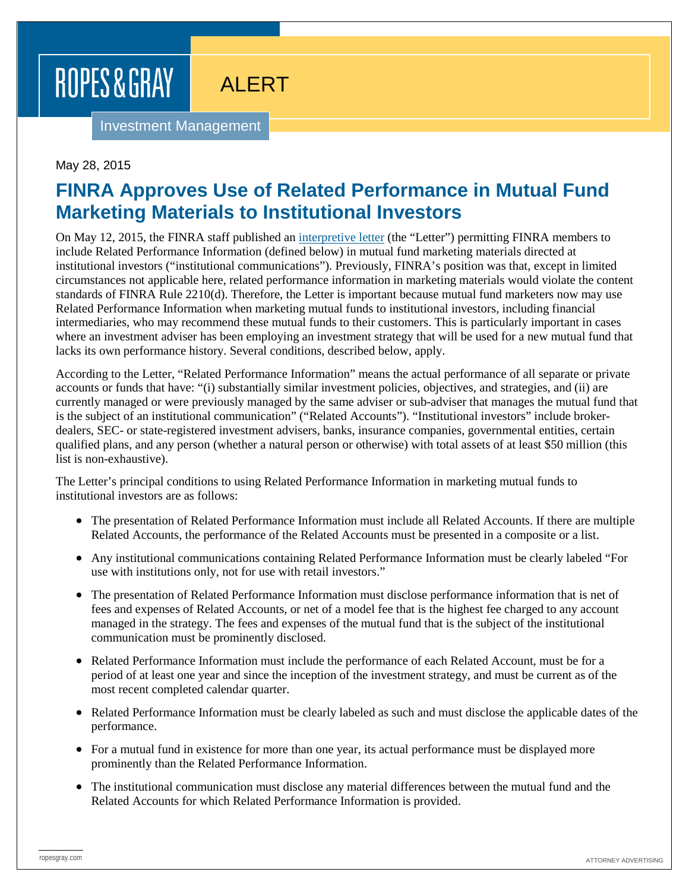# ROPES & GRAY

## ALERT

Investment Management

#### May 28, 2015

## **FINRA Approves Use of Related Performance in Mutual Fund Marketing Materials to Institutional Investors**

On May 12, 2015, the FINRA staff published an [interpretive letter](http://www.finra.org/industry/interpretive-letters/may-12-2015-1200am) (the "Letter") permitting FINRA members to include Related Performance Information (defined below) in mutual fund marketing materials directed at institutional investors ("institutional communications"). Previously, FINRA's position was that, except in limited circumstances not applicable here, related performance information in marketing materials would violate the content standards of FINRA Rule 2210(d). Therefore, the Letter is important because mutual fund marketers now may use Related Performance Information when marketing mutual funds to institutional investors, including financial intermediaries, who may recommend these mutual funds to their customers. This is particularly important in cases where an investment adviser has been employing an investment strategy that will be used for a new mutual fund that lacks its own performance history. Several conditions, described below, apply.

According to the Letter, "Related Performance Information" means the actual performance of all separate or private accounts or funds that have: "(i) substantially similar investment policies, objectives, and strategies, and (ii) are currently managed or were previously managed by the same adviser or sub-adviser that manages the mutual fund that is the subject of an institutional communication" ("Related Accounts"). "Institutional investors" include brokerdealers, SEC- or state-registered investment advisers, banks, insurance companies, governmental entities, certain qualified plans, and any person (whether a natural person or otherwise) with total assets of at least \$50 million (this list is non-exhaustive).

The Letter's principal conditions to using Related Performance Information in marketing mutual funds to institutional investors are as follows:

- The presentation of Related Performance Information must include all Related Accounts. If there are multiple Related Accounts, the performance of the Related Accounts must be presented in a composite or a list.
- Any institutional communications containing Related Performance Information must be clearly labeled "For use with institutions only, not for use with retail investors."
- The presentation of Related Performance Information must disclose performance information that is net of fees and expenses of Related Accounts, or net of a model fee that is the highest fee charged to any account managed in the strategy. The fees and expenses of the mutual fund that is the subject of the institutional communication must be prominently disclosed.
- Related Performance Information must include the performance of each Related Account, must be for a period of at least one year and since the inception of the investment strategy, and must be current as of the most recent completed calendar quarter.
- Related Performance Information must be clearly labeled as such and must disclose the applicable dates of the performance.
- For a mutual fund in existence for more than one year, its actual performance must be displayed more prominently than the Related Performance Information.
- The institutional communication must disclose any material differences between the mutual fund and the Related Accounts for which Related Performance Information is provided.